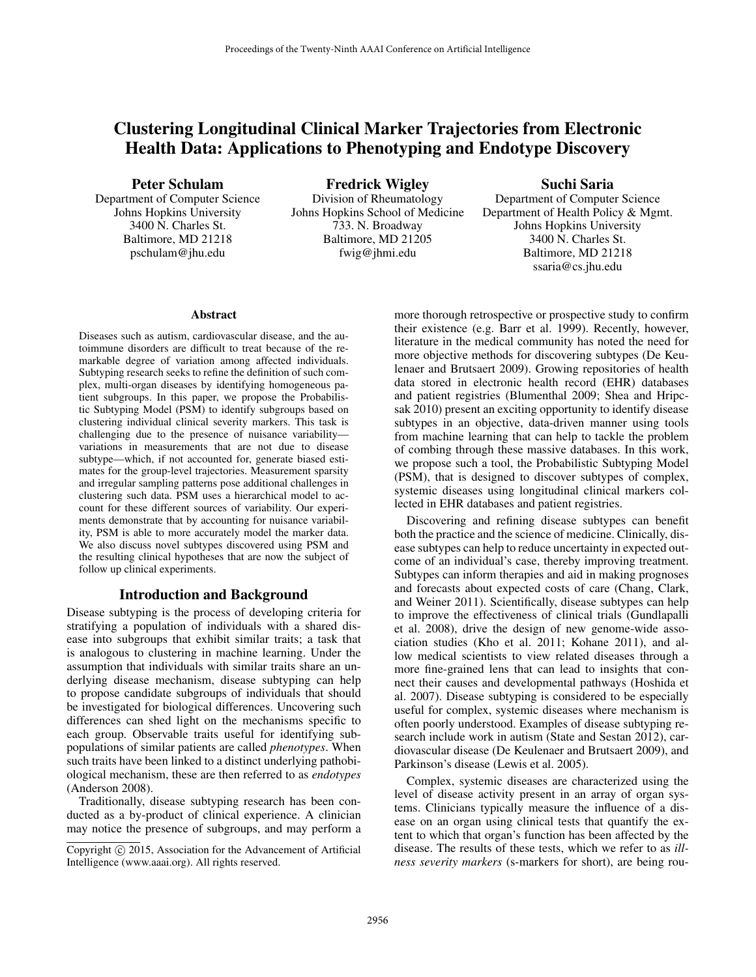# Clustering Longitudinal Clinical Marker Trajectories from Electronic Health Data: Applications to Phenotyping and Endotype Discovery

# Peter Schulam

Department of Computer Science Johns Hopkins University 3400 N. Charles St. Baltimore, MD 21218 pschulam@jhu.edu

Fredrick Wigley Division of Rheumatology Johns Hopkins School of Medicine 733. N. Broadway Baltimore, MD 21205 fwig@jhmi.edu

# Suchi Saria

Department of Computer Science Department of Health Policy & Mgmt. Johns Hopkins University 3400 N. Charles St. Baltimore, MD 21218 ssaria@cs.jhu.edu

#### Abstract

Diseases such as autism, cardiovascular disease, and the autoimmune disorders are difficult to treat because of the remarkable degree of variation among affected individuals. Subtyping research seeks to refine the definition of such complex, multi-organ diseases by identifying homogeneous patient subgroups. In this paper, we propose the Probabilistic Subtyping Model (PSM) to identify subgroups based on clustering individual clinical severity markers. This task is challenging due to the presence of nuisance variability variations in measurements that are not due to disease subtype—which, if not accounted for, generate biased estimates for the group-level trajectories. Measurement sparsity and irregular sampling patterns pose additional challenges in clustering such data. PSM uses a hierarchical model to account for these different sources of variability. Our experiments demonstrate that by accounting for nuisance variability, PSM is able to more accurately model the marker data. We also discuss novel subtypes discovered using PSM and the resulting clinical hypotheses that are now the subject of follow up clinical experiments.

# Introduction and Background

Disease subtyping is the process of developing criteria for stratifying a population of individuals with a shared disease into subgroups that exhibit similar traits; a task that is analogous to clustering in machine learning. Under the assumption that individuals with similar traits share an underlying disease mechanism, disease subtyping can help to propose candidate subgroups of individuals that should be investigated for biological differences. Uncovering such differences can shed light on the mechanisms specific to each group. Observable traits useful for identifying subpopulations of similar patients are called *phenotypes*. When such traits have been linked to a distinct underlying pathobiological mechanism, these are then referred to as *endotypes* (Anderson 2008).

Traditionally, disease subtyping research has been conducted as a by-product of clinical experience. A clinician may notice the presence of subgroups, and may perform a more thorough retrospective or prospective study to confirm their existence (e.g. Barr et al. 1999). Recently, however, literature in the medical community has noted the need for more objective methods for discovering subtypes (De Keulenaer and Brutsaert 2009). Growing repositories of health data stored in electronic health record (EHR) databases and patient registries (Blumenthal 2009; Shea and Hripcsak 2010) present an exciting opportunity to identify disease subtypes in an objective, data-driven manner using tools from machine learning that can help to tackle the problem of combing through these massive databases. In this work, we propose such a tool, the Probabilistic Subtyping Model (PSM), that is designed to discover subtypes of complex, systemic diseases using longitudinal clinical markers collected in EHR databases and patient registries.

Discovering and refining disease subtypes can benefit both the practice and the science of medicine. Clinically, disease subtypes can help to reduce uncertainty in expected outcome of an individual's case, thereby improving treatment. Subtypes can inform therapies and aid in making prognoses and forecasts about expected costs of care (Chang, Clark, and Weiner 2011). Scientifically, disease subtypes can help to improve the effectiveness of clinical trials (Gundlapalli et al. 2008), drive the design of new genome-wide association studies (Kho et al. 2011; Kohane 2011), and allow medical scientists to view related diseases through a more fine-grained lens that can lead to insights that connect their causes and developmental pathways (Hoshida et al. 2007). Disease subtyping is considered to be especially useful for complex, systemic diseases where mechanism is often poorly understood. Examples of disease subtyping research include work in autism (State and Sestan 2012), cardiovascular disease (De Keulenaer and Brutsaert 2009), and Parkinson's disease (Lewis et al. 2005).

Complex, systemic diseases are characterized using the level of disease activity present in an array of organ systems. Clinicians typically measure the influence of a disease on an organ using clinical tests that quantify the extent to which that organ's function has been affected by the disease. The results of these tests, which we refer to as *illness severity markers* (s-markers for short), are being rou-

Copyright  $\odot$  2015, Association for the Advancement of Artificial Intelligence (www.aaai.org). All rights reserved.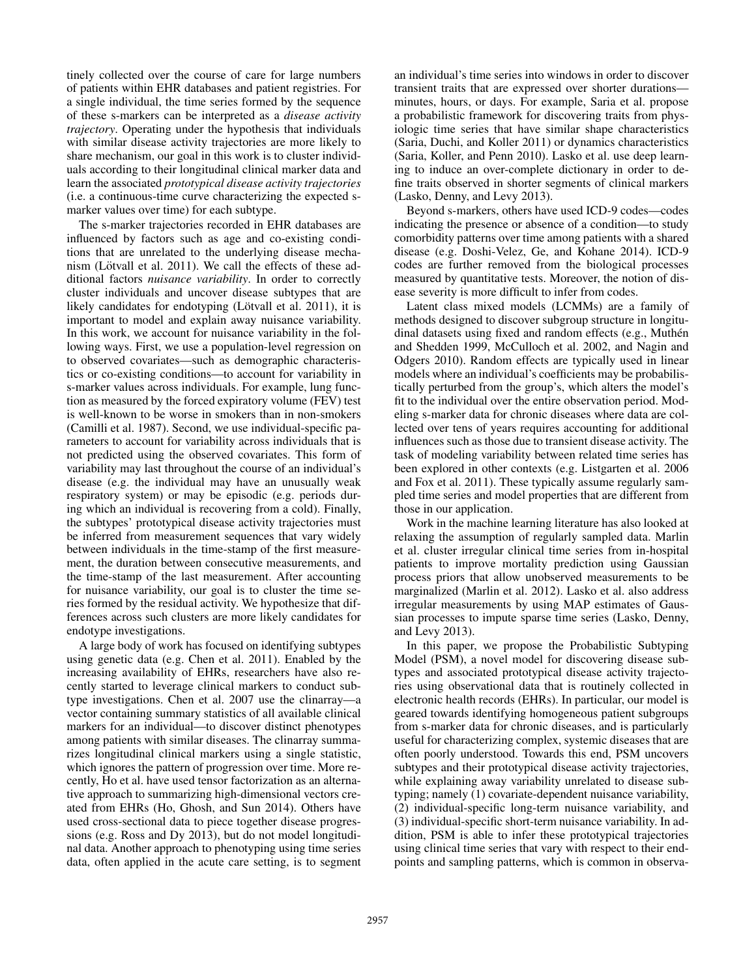tinely collected over the course of care for large numbers of patients within EHR databases and patient registries. For a single individual, the time series formed by the sequence of these s-markers can be interpreted as a *disease activity trajectory*. Operating under the hypothesis that individuals with similar disease activity trajectories are more likely to share mechanism, our goal in this work is to cluster individuals according to their longitudinal clinical marker data and learn the associated *prototypical disease activity trajectories* (i.e. a continuous-time curve characterizing the expected smarker values over time) for each subtype.

The s-marker trajectories recorded in EHR databases are influenced by factors such as age and co-existing conditions that are unrelated to the underlying disease mechanism (Lötvall et al. 2011). We call the effects of these additional factors *nuisance variability*. In order to correctly cluster individuals and uncover disease subtypes that are likely candidates for endotyping (Lötvall et al. 2011), it is important to model and explain away nuisance variability. In this work, we account for nuisance variability in the following ways. First, we use a population-level regression on to observed covariates—such as demographic characteristics or co-existing conditions—to account for variability in s-marker values across individuals. For example, lung function as measured by the forced expiratory volume (FEV) test is well-known to be worse in smokers than in non-smokers (Camilli et al. 1987). Second, we use individual-specific parameters to account for variability across individuals that is not predicted using the observed covariates. This form of variability may last throughout the course of an individual's disease (e.g. the individual may have an unusually weak respiratory system) or may be episodic (e.g. periods during which an individual is recovering from a cold). Finally, the subtypes' prototypical disease activity trajectories must be inferred from measurement sequences that vary widely between individuals in the time-stamp of the first measurement, the duration between consecutive measurements, and the time-stamp of the last measurement. After accounting for nuisance variability, our goal is to cluster the time series formed by the residual activity. We hypothesize that differences across such clusters are more likely candidates for endotype investigations.

A large body of work has focused on identifying subtypes using genetic data (e.g. Chen et al. 2011). Enabled by the increasing availability of EHRs, researchers have also recently started to leverage clinical markers to conduct subtype investigations. Chen et al. 2007 use the clinarray—a vector containing summary statistics of all available clinical markers for an individual—to discover distinct phenotypes among patients with similar diseases. The clinarray summarizes longitudinal clinical markers using a single statistic, which ignores the pattern of progression over time. More recently, Ho et al. have used tensor factorization as an alternative approach to summarizing high-dimensional vectors created from EHRs (Ho, Ghosh, and Sun 2014). Others have used cross-sectional data to piece together disease progressions (e.g. Ross and Dy 2013), but do not model longitudinal data. Another approach to phenotyping using time series data, often applied in the acute care setting, is to segment

an individual's time series into windows in order to discover transient traits that are expressed over shorter durations minutes, hours, or days. For example, Saria et al. propose a probabilistic framework for discovering traits from physiologic time series that have similar shape characteristics (Saria, Duchi, and Koller 2011) or dynamics characteristics (Saria, Koller, and Penn 2010). Lasko et al. use deep learning to induce an over-complete dictionary in order to define traits observed in shorter segments of clinical markers (Lasko, Denny, and Levy 2013).

Beyond s-markers, others have used ICD-9 codes—codes indicating the presence or absence of a condition—to study comorbidity patterns over time among patients with a shared disease (e.g. Doshi-Velez, Ge, and Kohane 2014). ICD-9 codes are further removed from the biological processes measured by quantitative tests. Moreover, the notion of disease severity is more difficult to infer from codes.

Latent class mixed models (LCMMs) are a family of methods designed to discover subgroup structure in longitudinal datasets using fixed and random effects (e.g., Muthén and Shedden 1999, McCulloch et al. 2002, and Nagin and Odgers 2010). Random effects are typically used in linear models where an individual's coefficients may be probabilistically perturbed from the group's, which alters the model's fit to the individual over the entire observation period. Modeling s-marker data for chronic diseases where data are collected over tens of years requires accounting for additional influences such as those due to transient disease activity. The task of modeling variability between related time series has been explored in other contexts (e.g. Listgarten et al. 2006 and Fox et al. 2011). These typically assume regularly sampled time series and model properties that are different from those in our application.

Work in the machine learning literature has also looked at relaxing the assumption of regularly sampled data. Marlin et al. cluster irregular clinical time series from in-hospital patients to improve mortality prediction using Gaussian process priors that allow unobserved measurements to be marginalized (Marlin et al. 2012). Lasko et al. also address irregular measurements by using MAP estimates of Gaussian processes to impute sparse time series (Lasko, Denny, and Levy 2013).

In this paper, we propose the Probabilistic Subtyping Model (PSM), a novel model for discovering disease subtypes and associated prototypical disease activity trajectories using observational data that is routinely collected in electronic health records (EHRs). In particular, our model is geared towards identifying homogeneous patient subgroups from s-marker data for chronic diseases, and is particularly useful for characterizing complex, systemic diseases that are often poorly understood. Towards this end, PSM uncovers subtypes and their prototypical disease activity trajectories, while explaining away variability unrelated to disease subtyping; namely (1) covariate-dependent nuisance variability, (2) individual-specific long-term nuisance variability, and (3) individual-specific short-term nuisance variability. In addition, PSM is able to infer these prototypical trajectories using clinical time series that vary with respect to their endpoints and sampling patterns, which is common in observa-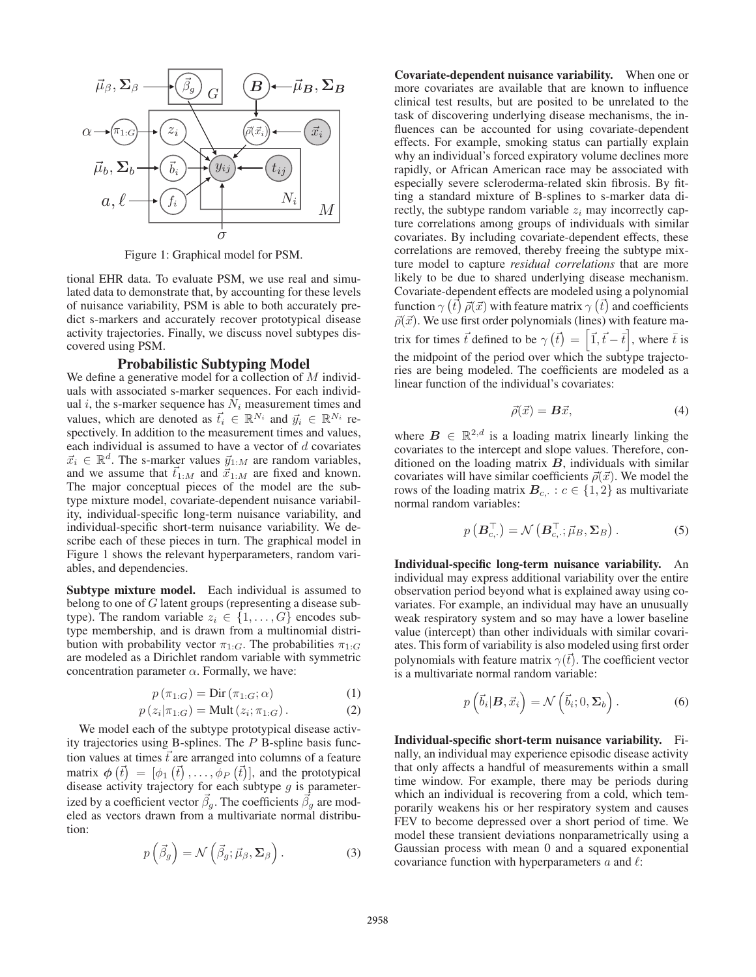

Figure 1: Graphical model for PSM.

tional EHR data. To evaluate PSM, we use real and simulated data to demonstrate that, by accounting for these levels of nuisance variability, PSM is able to both accurately predict s-markers and accurately recover prototypical disease activity trajectories. Finally, we discuss novel subtypes discovered using PSM.

## Probabilistic Subtyping Model

We define a generative model for a collection of M individuals with associated s-marker sequences. For each individual i, the s-marker sequence has  $N_i$  measurement times and values, which are denoted as  $\vec{t}_i \in \mathbb{R}^{N_i}$  and  $\vec{y}_i \in \mathbb{R}^{N_i}$  respectively. In addition to the measurement times and values, each individual is assumed to have a vector of  $d$  covariates  $\vec{x}_i \in \mathbb{R}^d$ . The s-marker values  $\vec{y}_{1:M}$  are random variables, and we assume that  $\vec{t}_{1:M}$  and  $\vec{x}_{1:M}$  are fixed and known. The major conceptual pieces of the model are the subtype mixture model, covariate-dependent nuisance variability, individual-specific long-term nuisance variability, and individual-specific short-term nuisance variability. We describe each of these pieces in turn. The graphical model in Figure 1 shows the relevant hyperparameters, random variables, and dependencies.

Subtype mixture model. Each individual is assumed to belong to one of G latent groups (representing a disease subtype). The random variable  $z_i \in \{1, \ldots, G\}$  encodes subtype membership, and is drawn from a multinomial distribution with probability vector  $\pi_{1:G}$ . The probabilities  $\pi_{1:G}$ are modeled as a Dirichlet random variable with symmetric concentration parameter  $\alpha$ . Formally, we have:

$$
p(\pi_{1:G}) = \text{Dir}(\pi_{1:G}; \alpha)
$$
\n(1)

$$
p(z_i|\pi_{1:G}) = \text{Mult}(z_i;\pi_{1:G}).
$$
 (2)

 $p(z_i|\pi_{1:G}) = \text{Mult}(z_i; \pi_{1:G})$ . (2)<br>We model each of the subtype prototypical disease activity trajectories using B-splines. The P B-spline basis function values at times  $\vec{t}$  are arranged into columns of a feature matrix  $\phi(\vec{t}) = [\phi_1(\vec{t}), \dots, \phi_P(\vec{t})]$ , and the prototypical disease activity trajectory for each subtype *a* is parameterdisease activity trajectory for each subtype  $g$  is parameterized by a coefficient vector  $\vec{\beta}_g$ . The coefficients  $\vec{\beta}_g$  are modeled as vectors drawn from a multivariate normal distribution:

$$
p\left(\vec{\beta}_g\right) = \mathcal{N}\left(\vec{\beta}_g; \vec{\mu}_\beta, \Sigma_\beta\right). \tag{3}
$$

Covariate-dependent nuisance variability. When one or more covariates are available that are known to influence clinical test results, but are posited to be unrelated to the task of discovering underlying disease mechanisms, the influences can be accounted for using covariate-dependent effects. For example, smoking status can partially explain why an individual's forced expiratory volume declines more rapidly, or African American race may be associated with especially severe scleroderma-related skin fibrosis. By fitting a standard mixture of B-splines to s-marker data directly, the subtype random variable  $z_i$  may incorrectly capture correlations among groups of individuals with similar covariates. By including covariate-dependent effects, these correlations are removed, thereby freeing the subtype mixture model to capture *residual correlations* that are more likely to be due to shared underlying disease mechanism. Covariate-dependent effects are modeled using a polynomial function  $\gamma(\vec{t}) \vec{\rho}(\vec{x})$  with feature matrix  $\gamma(\vec{t})$  and coefficients  $\vec{\rho}(\vec{x})$ . We use first order polynomials (lines) with feature ma- $\vec{\rho}(\vec{x})$ . We use first order polynomials (lines) with feature matrix for times  $\vec{t}$  defined to be  $\gamma(\vec{t}) = [\vec{1}, \vec{t} - \vec{t}]$  $\left.\frac{}{\cdot}\right\}$ , where  $\overline{t}$  is the midpoint of the period over which the subtype trajectories are being modeled. The coefficients are modeled as a linear function of the individual's covariates:

$$
\vec{\rho}(\vec{x}) = \mathbf{B}\vec{x},\tag{4}
$$

where  $B \in \mathbb{R}^{2,d}$  is a loading matrix linearly linking the covariates to the intercept and slope values. Therefore, conditioned on the loading matrix *B*, individuals with similar covariates will have similar coefficients  $\vec{\rho}(\vec{x})$ . We model the rows of the loading matrix  $B_c$ .:  $c \in \{1,2\}$  as multivariate normal random variables:

$$
p\left(\boldsymbol{B}_{c,\cdot}^{\top}\right)=\mathcal{N}\left(\boldsymbol{B}_{c,\cdot}^{\top};\vec{\mu}_{B},\boldsymbol{\Sigma}_{B}\right).
$$
 (5)

Individual-specific long-term nuisance variability. An individual may express additional variability over the entire observation period beyond what is explained away using covariates. For example, an individual may have an unusually weak respiratory system and so may have a lower baseline value (intercept) than other individuals with similar covariates. This form of variability is also modeled using first order polynomials with feature matrix  $\gamma(\vec{t})$ . The coefficient vector is a multivariate normal random variable:

$$
p\left(\vec{b}_i|\mathbf{B},\vec{x}_i\right) = \mathcal{N}\left(\vec{b}_i;0,\Sigma_b\right). \tag{6}
$$

Individual-specific short-term nuisance variability. Finally, an individual may experience episodic disease activity that only affects a handful of measurements within a small time window. For example, there may be periods during which an individual is recovering from a cold, which temporarily weakens his or her respiratory system and causes FEV to become depressed over a short period of time. We model these transient deviations nonparametrically using a Gaussian process with mean 0 and a squared exponential covariance function with hyperparameters  $a$  and  $\ell$ :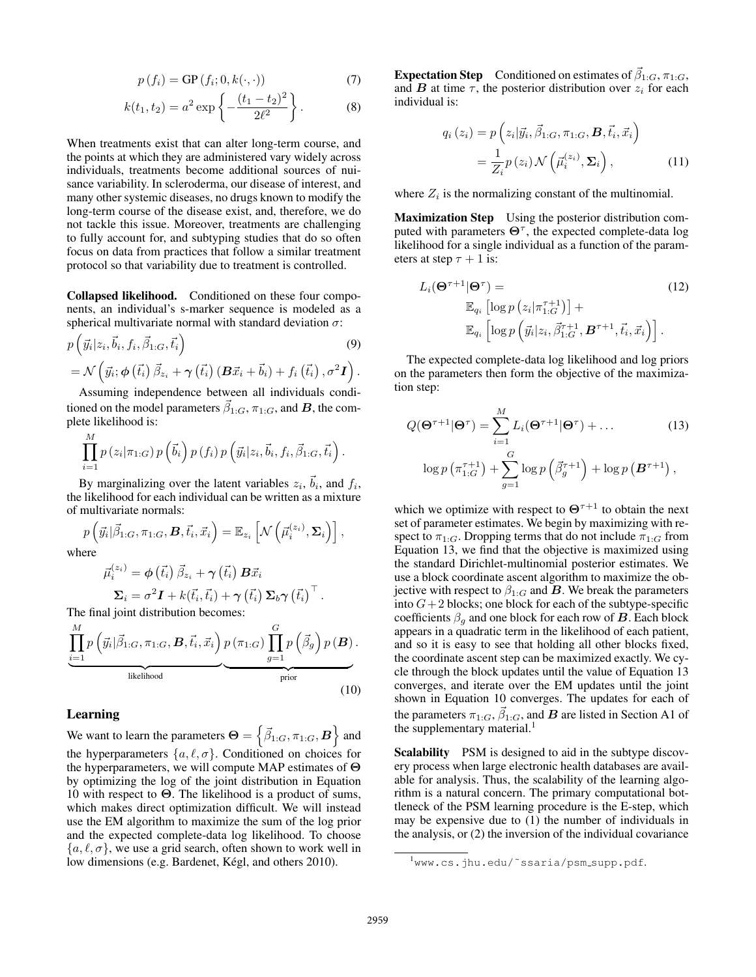$$
p(f_i) = \text{GP}(f_i; 0, k(\cdot, \cdot))
$$
\n(7)

$$
k(t_1, t_2) = a^2 \exp\left\{-\frac{(t_1 - t_2)^2}{2\ell^2}\right\}.
$$
 (8)

When treatments exist that can alter long-term course, and the points at which they are administered vary widely across individuals, treatments become additional sources of nuisance variability. In scleroderma, our disease of interest, and many other systemic diseases, no drugs known to modify the long-term course of the disease exist, and, therefore, we do not tackle this issue. Moreover, treatments are challenging to fully account for, and subtyping studies that do so often focus on data from practices that follow a similar treatment protocol so that variability due to treatment is controlled.

Collapsed likelihood. Conditioned on these four components, an individual's s-marker sequence is modeled as a spherical multivariate normal with standard deviation  $\sigma$ :

$$
p\left(\vec{y}_i|z_i,\vec{b}_i,f_i,\vec{\beta}_{1:G},\vec{t}_i\right) \tag{9}
$$
  
=  $\mathcal{N}\left(\vec{y}_i;\phi\left(\vec{t}_i\right)\vec{\beta}_{z_i}+\gamma\left(\vec{t}_i\right)\left(\boldsymbol{B}\vec{x}_i+\vec{b}_i\right)+f_i\left(\vec{t}_i\right),\sigma^2\boldsymbol{I}\right).$ 

Assuming independence between all individuals conditioned on the model parameters  $\vec{\beta}_{1:G}$ ,  $\pi_{1:G}$ , and *B*, the complete likelihood is:

$$
\prod_{i=1}^{M} p(z_i | \pi_{1:G}) p(\vec{b}_i) p(f_i) p(\vec{y}_i | z_i, \vec{b}_i, f_i, \vec{\beta}_{1:G}, \vec{t}_i).
$$

By marginalizing over the latent variables  $z_i$ ,  $b_i$ , and  $f_i$ , the likelihood for each individual can be written as a mixture of multivariate normals:

$$
p\left(\vec{y}_i|\vec{\beta}_{1:G}, \pi_{1:G}, \boldsymbol{B}, \vec{t}_i, \vec{x}_i\right) = \mathbb{E}_{z_i}\left[\mathcal{N}\left(\vec{\mu}_i^{(z_i)}, \boldsymbol{\Sigma}_i\right)\right],
$$

where

$$
\vec{\mu}_{i}^{(z_i)} = \phi\left(\vec{t}_i\right) \vec{\beta}_{z_i} + \gamma\left(\vec{t}_i\right) \mathbf{B} \vec{x}_i
$$
\n
$$
\Sigma_i = \sigma^2 \mathbf{I} + k(\vec{t}_i, \vec{t}_i) + \gamma\left(\vec{t}_i\right) \Sigma_b \gamma\left(\vec{t}_i\right)^\top.
$$
\nThe final joint distribution becomes:

$$
\underbrace{\prod_{i=1}^{M} p\left(\vec{y}_{i} | \vec{\beta}_{1:G}, \pi_{1:G}, \mathbf{B}, \vec{t}_{i}, \vec{x}_{i}\right)}_{\text{likelihood}} p\left(\pi_{1:G}\right) \underbrace{\prod_{g=1}^{G} p\left(\vec{\beta}_{g}\right) p\left(\mathbf{B}\right)}_{\text{prior}}.
$$
\n(10)

## Learning

We want to learn the parameters  $\mathbf{\Theta} = \left\{ \vec{\beta}_{1:G}, \pi_{1:G}, \mathbf{B} \right\}$  and the hyperparameters  $\{a, \ell, \sigma\}$ . Conditioned on choices for the hyperparameters, we will compute MAP estimates of **Θ** by optimizing the log of the joint distribution in Equation 10 with respect to **Θ**. The likelihood is a product of sums, which makes direct optimization difficult. We will instead use the EM algorithm to maximize the sum of the log prior and the expected complete-data log likelihood. To choose  $\{a, \ell, \sigma\}$ , we use a grid search, often shown to work well in low dimensions (e.g. Bardenet, Kégl, and others 2010).

**Expectation Step** Conditioned on estimates of  $\vec{\beta}_{1:G}, \pi_{1:G}$ , and  $\bm{B}$  at time  $\tau$ , the posterior distribution over  $z_i$  for each individual is:

$$
q_i(z_i) = p\left(z_i|\vec{y}_i, \vec{\beta}_{1:G}, \pi_{1:G}, \mathbf{B}, \vec{t}_i, \vec{x}_i\right)
$$
  
= 
$$
\frac{1}{Z_i}p(z_i) \mathcal{N}\left(\vec{\mu}_i^{(z_i)}, \Sigma_i\right),
$$
 (11)

where  $Z_i$  is the normalizing constant of the multinomial.

Maximization Step Using the posterior distribution computed with parameters  $\Theta^{\tau}$ , the expected complete-data log likelihood for a single individual as a function of the parameters at step  $\tau + 1$  is:

$$
L_i(\mathbf{\Theta}^{\tau+1}|\mathbf{\Theta}^{\tau}) = \qquad (12)
$$
  
\n
$$
\mathbb{E}_{q_i} \left[ \log p\left(z_i|\pi_{1:G}^{\tau+1}\right) \right] +
$$
  
\n
$$
\mathbb{E}_{q_i} \left[ \log p\left(\vec{y}_i|z_i, \vec{\beta}_{1:G}^{\tau+1}, \mathbf{B}^{\tau+1}, \vec{t}_i, \vec{x}_i \right) \right].
$$

The expected complete-data log likelihood and log priors on the parameters then form the objective of the maximization step:

$$
Q(\mathbf{\Theta}^{\tau+1}|\mathbf{\Theta}^{\tau}) = \sum_{i=1}^{M} L_i(\mathbf{\Theta}^{\tau+1}|\mathbf{\Theta}^{\tau}) + \dots
$$
 (13)  

$$
\log p(\pi_{1:G}^{\tau+1}) + \sum_{g=1}^{G} \log p(\vec{\beta}_g^{\tau+1}) + \log p(\mathbf{\Theta}^{\tau+1}),
$$

which we optimize with respect to  $\Theta^{\tau+1}$  to obtain the next set of parameter estimates. We begin by maximizing with respect to  $\pi_{1:G}$ . Dropping terms that do not include  $\pi_{1:G}$  from Equation 13, we find that the objective is maximized using the standard Dirichlet-multinomial posterior estimates. We use a block coordinate ascent algorithm to maximize the objective with respect to  $\beta_{1:G}$  and *B*. We break the parameters into  $G+2$  blocks; one block for each of the subtype-specific coefficients  $\beta_q$  and one block for each row of *B*. Each block appears in a quadratic term in the likelihood of each patient, and so it is easy to see that holding all other blocks fixed, the coordinate ascent step can be maximized exactly. We cycle through the block updates until the value of Equation 13 converges, and iterate over the EM updates until the joint shown in Equation 10 converges. The updates for each of the parameters  $\pi_{1:G}, \vec{\beta}_{1:G}$ , and *B* are listed in Section A1 of the supplementary material. $<sup>1</sup>$ </sup>

Scalability PSM is designed to aid in the subtype discovery process when large electronic health databases are available for analysis. Thus, the scalability of the learning algorithm is a natural concern. The primary computational bottleneck of the PSM learning procedure is the E-step, which may be expensive due to (1) the number of individuals in the analysis, or (2) the inversion of the individual covariance

<sup>&</sup>lt;sup>1</sup>www.cs.jhu.edu/~ssaria/psm\_supp.pdf.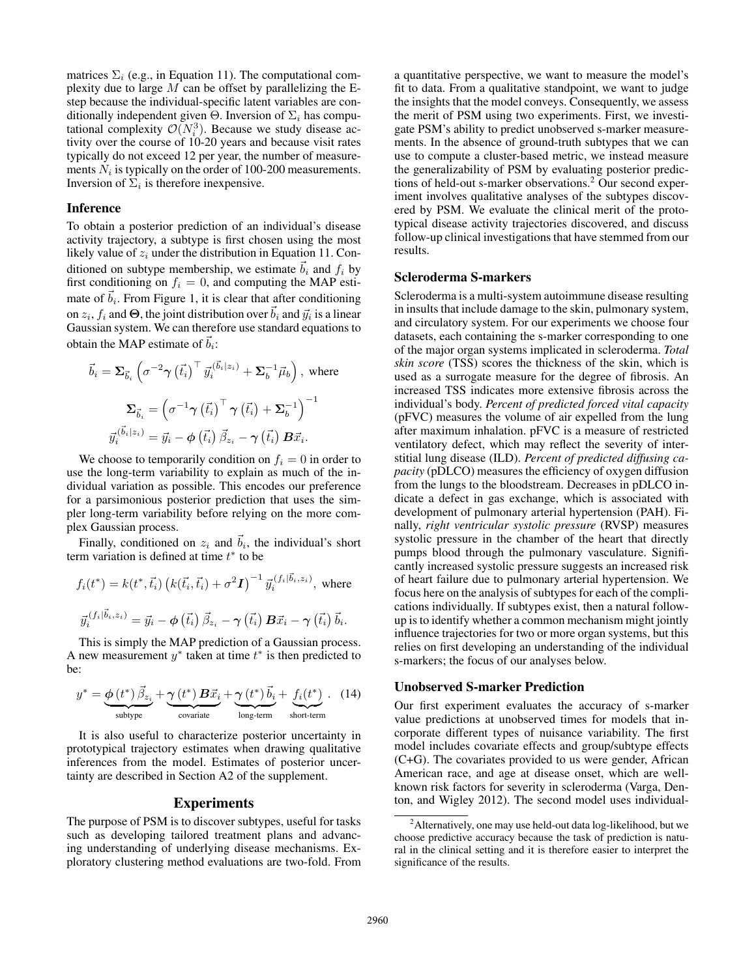matrices  $\Sigma_i$  (e.g., in Equation 11). The computational complexity due to large  $M$  can be offset by parallelizing the Estep because the individual-specific latent variables are conditionally independent given  $\Theta$ . Inversion of  $\Sigma_i$  has computational complexity  $\mathcal{O}(N_i^3)$ . Because we study disease activity over the course of 10-20 years and because visit rates tivity over the course of 10-20 years and because visit rates typically do not exceed 12 per year, the number of measurements  $N_i$  is typically on the order of 100-200 measurements. Inversion of  $\Sigma_i$  is therefore inexpensive.

## Inference

To obtain a posterior prediction of an individual's disease activity trajectory, a subtype is first chosen using the most likely value of  $z_i$  under the distribution in Equation 11. Conditioned on subtype membership, we estimate  $\vec{b}_i$  and  $f_i$  by first conditioning on  $f_i = 0$ , and computing the MAP estimate of  $\vec{b}_i$ . From Figure 1, it is clear that after conditioning on  $z_i$ ,  $f_i$  and  $\Theta$ , the joint distribution over  $\vec{b}_i$  and  $\vec{y}_i$  is a linear Gaussian system. We can therefore use standard equations to obtain the MAP estimate of  $\vec{b}_i$ :

$$
\vec{b}_{i} = \Sigma_{\vec{b}_{i}} \left( \sigma^{-2} \gamma \left( \vec{t}_{i} \right)^{\top} \vec{y}_{i}^{(\vec{b}_{i} | z_{i})} + \Sigma_{b}^{-1} \vec{\mu}_{b} \right), \text{ where}
$$
\n
$$
\Sigma_{\vec{b}_{i}} = \left( \sigma^{-1} \gamma \left( \vec{t}_{i} \right)^{\top} \gamma \left( \vec{t}_{i} \right) + \Sigma_{b}^{-1} \right)^{-1}
$$
\n
$$
\vec{y}_{i}^{(\vec{b}_{i} | z_{i})} = \vec{y}_{i} - \phi \left( \vec{t}_{i} \right) \vec{\beta}_{z_{i}} - \gamma \left( \vec{t}_{i} \right) \mathbf{B} \vec{x}_{i}.
$$

We choose to temporarily condition on  $f_i = 0$  in order to use the long-term variability to explain as much of the individual variation as possible. This encodes our preference for a parsimonious posterior prediction that uses the simpler long-term variability before relying on the more complex Gaussian process.

Finally, conditioned on  $z_i$  and  $\overline{b}_i$ , the individual's short term variation is defined at time  $t^*$  to be

$$
f_i(t^*) = k(t^*, \vec{t}_i) \left( k(\vec{t}_i, \vec{t}_i) + \sigma^2 \mathbf{I} \right)^{-1} \vec{y}_i^{(f_i | \vec{b}_i, z_i)}, \text{ where}
$$
  

$$
\vec{y}_i^{(f_i | \vec{b}_i, z_i)} = \vec{y}_i - \phi \left( \vec{t}_i \right) \vec{\beta}_{z_i} - \gamma \left( \vec{t}_i \right) \mathbf{B} \vec{x}_i - \gamma \left( \vec{t}_i \right) \vec{b}_i.
$$

This is simply the MAP prediction of a Gaussian process. A new measurement  $y^*$  taken at time  $t^*$  is then predicted to be:

$$
y^* = \underbrace{\phi(t^*) \vec{\beta}_{z_i}}_{\text{subtype}} + \underbrace{\gamma(t^*) \mathbf{B} \vec{x}_i}_{\text{covariate}} + \underbrace{\gamma(t^*) \vec{b}_i}_{\text{long-term}} + \underbrace{f_i(t^*)}_{\text{short-term}}.
$$
 (14)

It is also useful to characterize posterior uncertainty in prototypical trajectory estimates when drawing qualitative inferences from the model. Estimates of posterior uncertainty are described in Section A2 of the supplement.

## Experiments

The purpose of PSM is to discover subtypes, useful for tasks such as developing tailored treatment plans and advancing understanding of underlying disease mechanisms. Exploratory clustering method evaluations are two-fold. From a quantitative perspective, we want to measure the model's fit to data. From a qualitative standpoint, we want to judge the insights that the model conveys. Consequently, we assess the merit of PSM using two experiments. First, we investigate PSM's ability to predict unobserved s-marker measurements. In the absence of ground-truth subtypes that we can use to compute a cluster-based metric, we instead measure the generalizability of PSM by evaluating posterior predictions of held-out s-marker observations.<sup>2</sup> Our second experiment involves qualitative analyses of the subtypes discovered by PSM. We evaluate the clinical merit of the prototypical disease activity trajectories discovered, and discuss follow-up clinical investigations that have stemmed from our results.

# Scleroderma S-markers

Scleroderma is a multi-system autoimmune disease resulting in insults that include damage to the skin, pulmonary system, and circulatory system. For our experiments we choose four datasets, each containing the s-marker corresponding to one of the major organ systems implicated in scleroderma. *Total skin score* (TSS) scores the thickness of the skin, which is used as a surrogate measure for the degree of fibrosis. An increased TSS indicates more extensive fibrosis across the individual's body. *Percent of predicted forced vital capacity* (pFVC) measures the volume of air expelled from the lung after maximum inhalation. pFVC is a measure of restricted ventilatory defect, which may reflect the severity of interstitial lung disease (ILD). *Percent of predicted diffusing capacity* (pDLCO) measures the efficiency of oxygen diffusion from the lungs to the bloodstream. Decreases in pDLCO indicate a defect in gas exchange, which is associated with development of pulmonary arterial hypertension (PAH). Finally, *right ventricular systolic pressure* (RVSP) measures systolic pressure in the chamber of the heart that directly pumps blood through the pulmonary vasculature. Significantly increased systolic pressure suggests an increased risk of heart failure due to pulmonary arterial hypertension. We focus here on the analysis of subtypes for each of the complications individually. If subtypes exist, then a natural followup is to identify whether a common mechanism might jointly influence trajectories for two or more organ systems, but this relies on first developing an understanding of the individual s-markers; the focus of our analyses below.

## Unobserved S-marker Prediction

Our first experiment evaluates the accuracy of s-marker value predictions at unobserved times for models that incorporate different types of nuisance variability. The first model includes covariate effects and group/subtype effects (C+G). The covariates provided to us were gender, African American race, and age at disease onset, which are wellknown risk factors for severity in scleroderma (Varga, Denton, and Wigley 2012). The second model uses individual-

<sup>&</sup>lt;sup>2</sup>Alternatively, one may use held-out data log-likelihood, but we choose predictive accuracy because the task of prediction is natural in the clinical setting and it is therefore easier to interpret the significance of the results.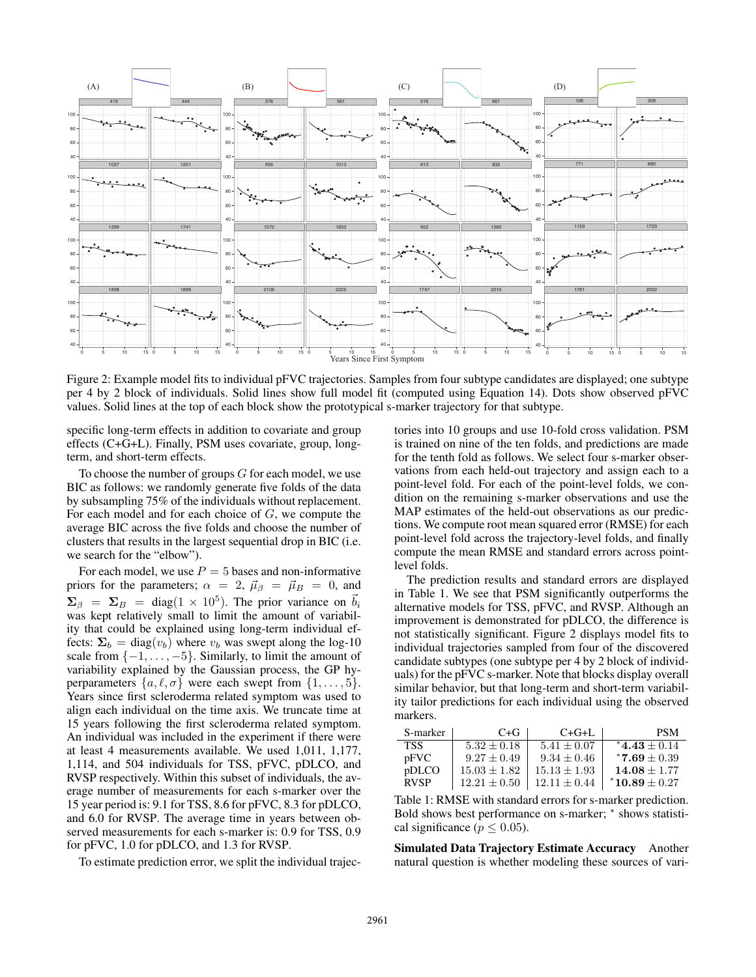

Figure 2: Example model fits to individual pFVC trajectories. Samples from four subtype candidates are displayed; one subtype per 4 by 2 block of individuals. Solid lines show full model fit (computed using Equation 14). Dots show observed pFVC values. Solid lines at the top of each block show the prototypical s-marker trajectory for that subtype.

specific long-term effects in addition to covariate and group effects (C+G+L). Finally, PSM uses covariate, group, longterm, and short-term effects.

To choose the number of groups  $G$  for each model, we use BIC as follows: we randomly generate five folds of the data by subsampling 75% of the individuals without replacement. For each model and for each choice of G, we compute the average BIC across the five folds and choose the number of clusters that results in the largest sequential drop in BIC (i.e. we search for the "elbow").

For each model, we use  $P = 5$  bases and non-informative<br>lors for the parameters:  $\alpha = 2$ ,  $\vec{u}_e = \vec{u}_v = 0$ , and priors for the parameters;  $\alpha = 2$ ,  $\vec{\mu}_{\beta} = \vec{\mu}_{B} = 0$ , and  $\Sigma_{\beta}$  =  $\Sigma_{B}$  = diag(1 × 10<sup>5</sup>). The prior variance on  $\vec{b}_i$ was kept relatively small to limit the amount of variability that could be explained using long-term individual effects:  $\Sigma_b = \text{diag}(v_b)$  where  $v_b$  was swept along the log-10 scale from  $\{-1,\ldots,-5\}$ . Similarly, to limit the amount of variability explained by the Gaussian process, the GP hyperparameters  $\{a, \ell, \sigma\}$  were each swept from  $\{1, \ldots, 5\}$ . Years since first scleroderma related symptom was used to align each individual on the time axis. We truncate time at 15 years following the first scleroderma related symptom. An individual was included in the experiment if there were at least 4 measurements available. We used 1,011, 1,177, 1,114, and 504 individuals for TSS, pFVC, pDLCO, and RVSP respectively. Within this subset of individuals, the average number of measurements for each s-marker over the 15 year period is: 9.1 for TSS, 8.6 for pFVC, 8.3 for pDLCO, and 6.0 for RVSP. The average time in years between observed measurements for each s-marker is: 0.9 for TSS, 0.9 for pFVC, 1.0 for pDLCO, and 1.3 for RVSP.

To estimate prediction error, we split the individual trajec-

tories into 10 groups and use 10-fold cross validation. PSM is trained on nine of the ten folds, and predictions are made for the tenth fold as follows. We select four s-marker observations from each held-out trajectory and assign each to a point-level fold. For each of the point-level folds, we condition on the remaining s-marker observations and use the MAP estimates of the held-out observations as our predictions. We compute root mean squared error (RMSE) for each point-level fold across the trajectory-level folds, and finally compute the mean RMSE and standard errors across pointlevel folds.

The prediction results and standard errors are displayed in Table 1. We see that PSM significantly outperforms the alternative models for TSS, pFVC, and RVSP. Although an improvement is demonstrated for pDLCO, the difference is not statistically significant. Figure 2 displays model fits to individual trajectories sampled from four of the discovered candidate subtypes (one subtype per 4 by 2 block of individuals) for the pFVC s-marker. Note that blocks display overall similar behavior, but that long-term and short-term variability tailor predictions for each individual using the observed markers.

| S-marker    | $C + G$          | $C+G+L$          | <b>PSM</b>        |
|-------------|------------------|------------------|-------------------|
| <b>TSS</b>  | $5.32 + 0.18$    | $5.41 + 0.07$    | $*4.43 + 0.14$    |
| pFVC        | $9.27 + 0.49$    | $9.34 + 0.46$    | $*7.69 + 0.39$    |
| pDLCO       | $15.03 + 1.82$   | $15.13 + 1.93$   | $14.08 + 1.77$    |
| <b>RVSP</b> | $12.21 \pm 0.50$ | $12.11 \pm 0.44$ | $*10.89 \pm 0.27$ |

Table 1: RMSE with standard errors for s-marker prediction. Bold shows best performance on s-marker;  $*$  shows statistical significance ( $p \leq 0.05$ ).

Simulated Data Trajectory Estimate Accuracy Another natural question is whether modeling these sources of vari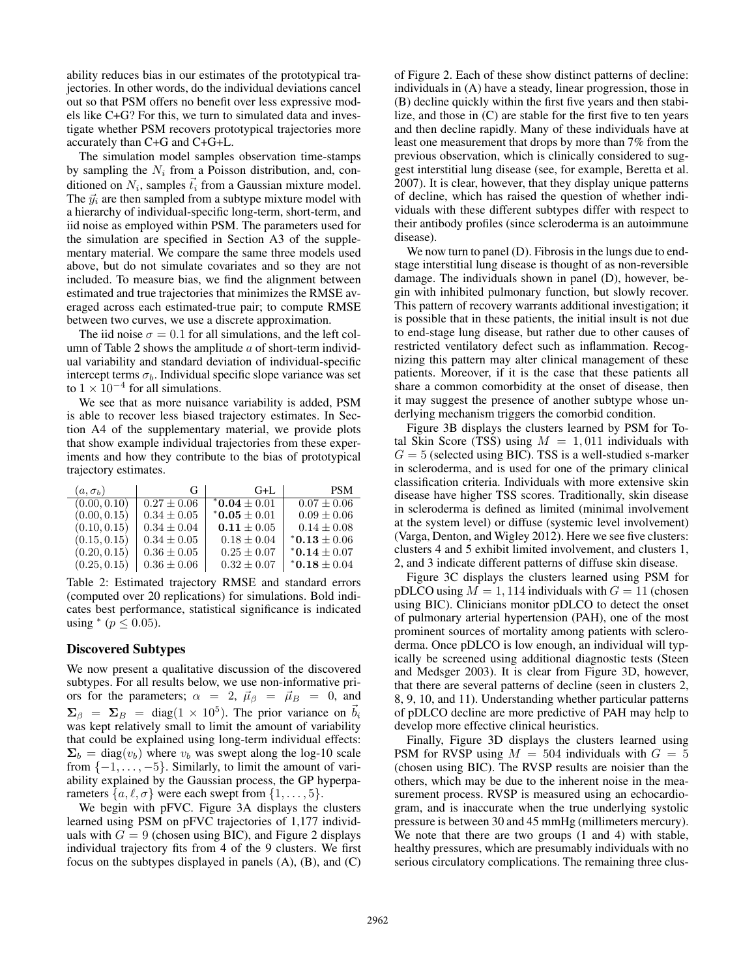ability reduces bias in our estimates of the prototypical trajectories. In other words, do the individual deviations cancel out so that PSM offers no benefit over less expressive models like C+G? For this, we turn to simulated data and investigate whether PSM recovers prototypical trajectories more accurately than C+G and C+G+L.

The simulation model samples observation time-stamps by sampling the  $N_i$  from a Poisson distribution, and, conditioned on  $N_i$ , samples  $\vec{t}_i$  from a Gaussian mixture model. The  $\vec{y}_i$  are then sampled from a subtype mixture model with a hierarchy of individual-specific long-term, short-term, and iid noise as employed within PSM. The parameters used for the simulation are specified in Section A3 of the supplementary material. We compare the same three models used above, but do not simulate covariates and so they are not included. To measure bias, we find the alignment between estimated and true trajectories that minimizes the RMSE averaged across each estimated-true pair; to compute RMSE between two curves, we use a discrete approximation.

The iid noise  $\sigma = 0.1$  for all simulations, and the left column of Table 2 shows the amplitude  $\alpha$  of short-term individual variability and standard deviation of individual-specific intercept terms  $\sigma_b$ . Individual specific slope variance was set to  $1 \times 10^{-4}$  for all simulations.

We see that as more nuisance variability is added, PSM is able to recover less biased trajectory estimates. In Section A4 of the supplementary material, we provide plots that show example individual trajectories from these experiments and how they contribute to the bias of prototypical trajectory estimates.

| $(a, \sigma_b)$ | G               | $G+L$                      | <b>PSM</b>                 |
|-----------------|-----------------|----------------------------|----------------------------|
| (0.00, 0.10)    | $0.27 \pm 0.06$ | $*$ <b>0.04</b> $\pm$ 0.01 | $0.07 \pm 0.06$            |
| (0.00, 0.15)    | $0.34 \pm 0.05$ | $*$ <b>0.05</b> $\pm$ 0.01 | $0.09 \pm 0.06$            |
| (0.10, 0.15)    | $0.34 \pm 0.04$ | $0.11 \pm 0.05$            | $0.14 \pm 0.08$            |
| (0.15, 0.15)    | $0.34 \pm 0.05$ | $0.18 \pm 0.04$            | $*$ <b>0.13</b> $\pm$ 0.06 |
| (0.20, 0.15)    | $0.36 \pm 0.05$ | $0.25 \pm 0.07$            | $*$ <b>0.14</b> $\pm$ 0.07 |
| (0.25, 0.15)    | $0.36 \pm 0.06$ | $0.32 \pm 0.07$            | $*$ <b>0.18</b> $\pm$ 0.04 |

Table 2: Estimated trajectory RMSE and standard errors (computed over 20 replications) for simulations. Bold indicates best performance, statistical significance is indicated using  $*(p \le 0.05)$ .

# Discovered Subtypes

We now present a qualitative discussion of the discovered subtypes. For all results below, we use non-informative priors for the parameters;  $\alpha = 2$ ,  $\vec{\mu}_{\beta} = \vec{\mu}_{B} = 0$ , and  $\Sigma_{\beta}$  =  $\Sigma_{B}$  = diag(1 × 10<sup>5</sup>). The prior variance on  $\vec{b}_i$ was kept relatively small to limit the amount of variability that could be explained using long-term individual effects:  $\Sigma_b = \text{diag}(v_b)$  where  $v_b$  was swept along the log-10 scale from  $\{-1, \ldots, -5\}$ . Similarly, to limit the amount of variability explained by the Gaussian process, the GP hyperparameters  $\{a, \ell, \sigma\}$  were each swept from  $\{1, \ldots, 5\}$ .

We begin with pFVC. Figure 3A displays the clusters learned using PSM on pFVC trajectories of 1,177 individuals with  $G = 9$  (chosen using BIC), and Figure 2 displays individual trajectory fits from 4 of the 9 clusters. We first focus on the subtypes displayed in panels (A), (B), and (C)

of Figure 2. Each of these show distinct patterns of decline: individuals in (A) have a steady, linear progression, those in (B) decline quickly within the first five years and then stabilize, and those in (C) are stable for the first five to ten years and then decline rapidly. Many of these individuals have at least one measurement that drops by more than 7% from the previous observation, which is clinically considered to suggest interstitial lung disease (see, for example, Beretta et al. 2007). It is clear, however, that they display unique patterns of decline, which has raised the question of whether individuals with these different subtypes differ with respect to their antibody profiles (since scleroderma is an autoimmune disease).

We now turn to panel (D). Fibrosis in the lungs due to endstage interstitial lung disease is thought of as non-reversible damage. The individuals shown in panel (D), however, begin with inhibited pulmonary function, but slowly recover. This pattern of recovery warrants additional investigation; it is possible that in these patients, the initial insult is not due to end-stage lung disease, but rather due to other causes of restricted ventilatory defect such as inflammation. Recognizing this pattern may alter clinical management of these patients. Moreover, if it is the case that these patients all share a common comorbidity at the onset of disease, then it may suggest the presence of another subtype whose underlying mechanism triggers the comorbid condition.

Figure 3B displays the clusters learned by PSM for Total Skin Score (TSS) using  $M = 1,011$  individuals with  $G = 5$  (selected using BIC). TSS is a well-studied s-marker in scleroderma, and is used for one of the primary clinical classification criteria. Individuals with more extensive skin disease have higher TSS scores. Traditionally, skin disease in scleroderma is defined as limited (minimal involvement at the system level) or diffuse (systemic level involvement) (Varga, Denton, and Wigley 2012). Here we see five clusters: clusters 4 and 5 exhibit limited involvement, and clusters 1, 2, and 3 indicate different patterns of diffuse skin disease.

Figure 3C displays the clusters learned using PSM for pDLCO using  $M = 1,114$  individuals with  $G = 11$  (chosen using BIC). Clinicians monitor pDLCO to detect the onset of pulmonary arterial hypertension (PAH), one of the most prominent sources of mortality among patients with scleroderma. Once pDLCO is low enough, an individual will typically be screened using additional diagnostic tests (Steen and Medsger 2003). It is clear from Figure 3D, however, that there are several patterns of decline (seen in clusters 2, 8, 9, 10, and 11). Understanding whether particular patterns of pDLCO decline are more predictive of PAH may help to develop more effective clinical heuristics.

Finally, Figure 3D displays the clusters learned using PSM for RVSP using  $M = 504$  individuals with  $G = 5$ (chosen using BIC). The RVSP results are noisier than the others, which may be due to the inherent noise in the measurement process. RVSP is measured using an echocardiogram, and is inaccurate when the true underlying systolic pressure is between 30 and 45 mmHg (millimeters mercury). We note that there are two groups  $(1 \text{ and } 4)$  with stable, healthy pressures, which are presumably individuals with no serious circulatory complications. The remaining three clus-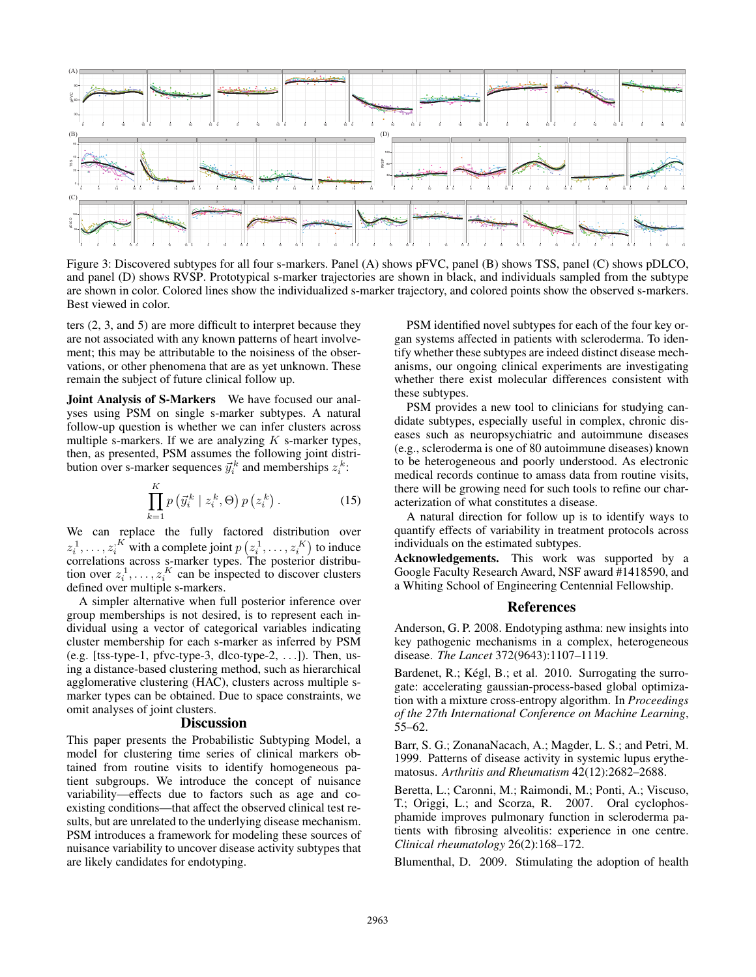

Figure 3: Discovered subtypes for all four s-markers. Panel (A) shows pFVC, panel (B) shows TSS, panel (C) shows pDLCO, and panel (D) shows RVSP. Prototypical s-marker trajectories are shown in black, and individuals sampled from the subtype are shown in color. Colored lines show the individualized s-marker trajectory, and colored points show the observed s-markers. Best viewed in color.

ters (2, 3, and 5) are more difficult to interpret because they are not associated with any known patterns of heart involvement; this may be attributable to the noisiness of the observations, or other phenomena that are as yet unknown. These remain the subject of future clinical follow up.

Joint Analysis of S-Markers We have focused our analyses using PSM on single s-marker subtypes. A natural follow-up question is whether we can infer clusters across multiple s-markers. If we are analyzing  $K$  s-marker types, then, as presented, PSM assumes the following joint distribution over s-marker sequences  $\vec{y}_i^k$  and memberships  $z_i^k$ :

$$
\prod_{k=1}^{K} p\left(\vec{y}_i^k \mid z_i^k, \Theta\right) p\left(z_i^k\right). \tag{15}
$$

We can replace the fully factored distribution over  $z_i^1, \ldots, z_i^N$  with a complete joint  $p(z_i^1, \ldots, z_i^N)$  to induce correlations across s-marker types. The posterior distribution over  $z_i^1, \ldots, z_i^K$  can be inspected to discover clusters defined over multiple s-markers.

A simpler alternative when full posterior inference over group memberships is not desired, is to represent each individual using a vector of categorical variables indicating cluster membership for each s-marker as inferred by PSM (e.g. [tss-type-1, pfvc-type-3, dlco-type-2, ...]). Then, using a distance-based clustering method, such as hierarchical agglomerative clustering (HAC), clusters across multiple smarker types can be obtained. Due to space constraints, we omit analyses of joint clusters.

#### **Discussion**

This paper presents the Probabilistic Subtyping Model, a model for clustering time series of clinical markers obtained from routine visits to identify homogeneous patient subgroups. We introduce the concept of nuisance variability—effects due to factors such as age and coexisting conditions—that affect the observed clinical test results, but are unrelated to the underlying disease mechanism. PSM introduces a framework for modeling these sources of nuisance variability to uncover disease activity subtypes that are likely candidates for endotyping.

PSM identified novel subtypes for each of the four key organ systems affected in patients with scleroderma. To identify whether these subtypes are indeed distinct disease mechanisms, our ongoing clinical experiments are investigating whether there exist molecular differences consistent with these subtypes.

PSM provides a new tool to clinicians for studying candidate subtypes, especially useful in complex, chronic diseases such as neuropsychiatric and autoimmune diseases (e.g., scleroderma is one of 80 autoimmune diseases) known to be heterogeneous and poorly understood. As electronic medical records continue to amass data from routine visits, there will be growing need for such tools to refine our characterization of what constitutes a disease.

A natural direction for follow up is to identify ways to quantify effects of variability in treatment protocols across individuals on the estimated subtypes.

Acknowledgements. This work was supported by a Google Faculty Research Award, NSF award #1418590, and a Whiting School of Engineering Centennial Fellowship.

## References

Anderson, G. P. 2008. Endotyping asthma: new insights into key pathogenic mechanisms in a complex, heterogeneous disease. *The Lancet* 372(9643):1107–1119.

Bardenet, R.; Kégl, B.; et al. 2010. Surrogating the surrogate: accelerating gaussian-process-based global optimization with a mixture cross-entropy algorithm. In *Proceedings of the 27th International Conference on Machine Learning*, 55–62.

Barr, S. G.; ZonanaNacach, A.; Magder, L. S.; and Petri, M. 1999. Patterns of disease activity in systemic lupus erythematosus. *Arthritis and Rheumatism* 42(12):2682–2688.

Beretta, L.; Caronni, M.; Raimondi, M.; Ponti, A.; Viscuso, T.; Origgi, L.; and Scorza, R. 2007. Oral cyclophosphamide improves pulmonary function in scleroderma patients with fibrosing alveolitis: experience in one centre. *Clinical rheumatology* 26(2):168–172.

Blumenthal, D. 2009. Stimulating the adoption of health